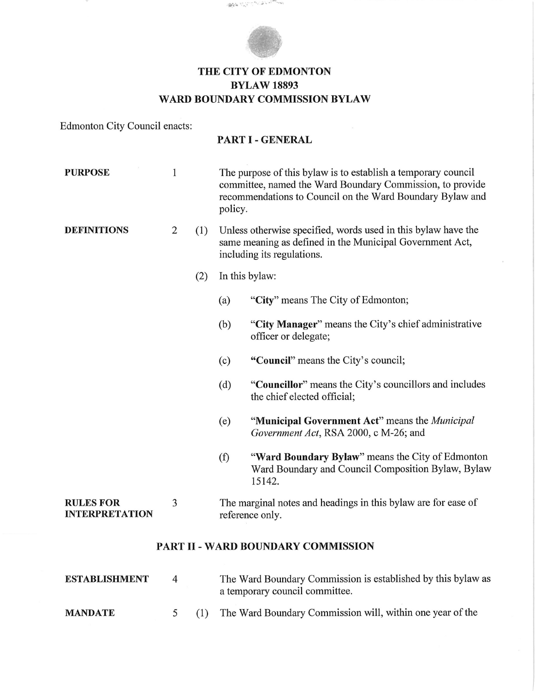

**SEE AND CANBRACKER** 

## **THE CITY OF EDMONTON BYLAW 18893 WARD BOUNDARY COMMISSION BYLAW**

Edmonton City Council enacts:

## **PART I - GENERAL**

| <b>PURPOSE</b>                            | $\mathbf{1}$   |     | The purpose of this bylaw is to establish a temporary council<br>committee, named the Ward Boundary Commission, to provide<br>recommendations to Council on the Ward Boundary Bylaw and<br>policy. |                                                                                                                  |  |  |  |
|-------------------------------------------|----------------|-----|----------------------------------------------------------------------------------------------------------------------------------------------------------------------------------------------------|------------------------------------------------------------------------------------------------------------------|--|--|--|
| <b>DEFINITIONS</b>                        | $\overline{2}$ | (1) | Unless otherwise specified, words used in this bylaw have the<br>same meaning as defined in the Municipal Government Act,<br>including its regulations.                                            |                                                                                                                  |  |  |  |
|                                           |                | (2) | In this bylaw:                                                                                                                                                                                     |                                                                                                                  |  |  |  |
|                                           |                |     | (a)                                                                                                                                                                                                | "City" means The City of Edmonton;                                                                               |  |  |  |
|                                           |                |     | (b)                                                                                                                                                                                                | "City Manager" means the City's chief administrative<br>officer or delegate;                                     |  |  |  |
|                                           |                |     | (c)                                                                                                                                                                                                | "Council" means the City's council;                                                                              |  |  |  |
|                                           |                |     | (d)                                                                                                                                                                                                | "Councillor" means the City's councillors and includes<br>the chief elected official;                            |  |  |  |
|                                           |                |     | (e)                                                                                                                                                                                                | "Municipal Government Act" means the <i>Municipal</i><br>Government Act, RSA 2000, c M-26; and                   |  |  |  |
|                                           |                |     | (f)                                                                                                                                                                                                | "Ward Boundary Bylaw" means the City of Edmonton<br>Ward Boundary and Council Composition Bylaw, Bylaw<br>15142. |  |  |  |
| <b>RULES FOR</b><br><b>INTERPRETATION</b> | 3              |     | The marginal notes and headings in this bylaw are for ease of<br>reference only.                                                                                                                   |                                                                                                                  |  |  |  |
| PART II - WARD BOUNDARY COMMISSION        |                |     |                                                                                                                                                                                                    |                                                                                                                  |  |  |  |

| ESTABLISHMENT  | $\overline{a}$ | The Ward Boundary Commission is established by this bylaw as<br>a temporary council committee. |
|----------------|----------------|------------------------------------------------------------------------------------------------|
| <b>MANDATE</b> |                | The Ward Boundary Commission will, within one year of the                                      |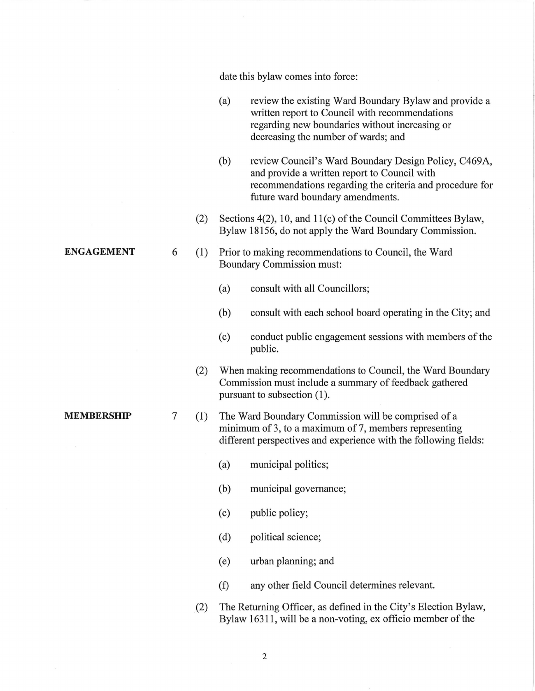ENGAGEMENT MEMBERSHIP date this bylaw comes into force: (a) review the existing Ward Boundary Bylaw and provide a written report to Council with recommendations regarding new boundaries without increasing or decreasing the number of wards; and (b) review Council's Ward Boundary Design Policy, C469A, and provide a written report to Council with recommendations regarding the criteria and procedure for future ward boundary amendments. (2) Sections 4(2), 10, and 11(c) of the Council Committees Bylaw, Bylaw 18156, do not apply the Ward Boundary Commission. 6 (1) Prior to making recommendations to Council, the Ward Boundary Commission must: (a) consult with all Councillors; (b) consult with each school board operating in the City; and (c) conduct public engagement sessions with members of the public. (2) When making recommendations to Council, the Ward Boundary Commission must include a summary of feedback gathered pursuant to subsection (1). 7 (1) The Ward Boundary Commission will be comprised of a minimum of 3, to a maximum of 7, members representing different perspectives and experience with the following fields: (a) municipal politics; (b) municipal governance; (c) public policy; (d) political science; (e) urban planning; and (f) any other field Council determines relevant. (2) The Returning Officer, as defined in the City's Election Bylaw, Bylaw 16311, will be a non-voting, ex officio member of the 2